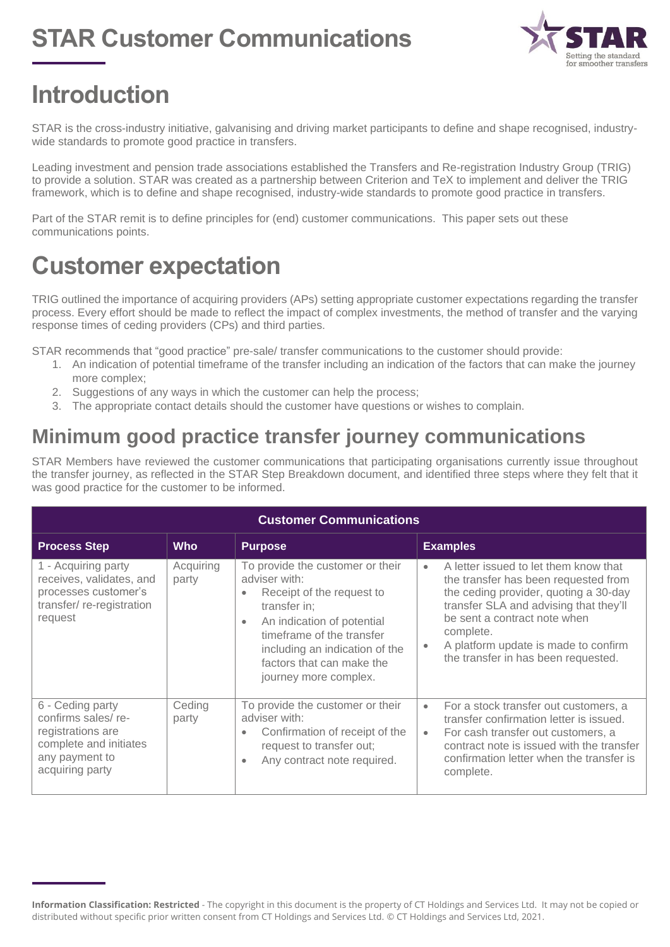# **STAR Customer Communications**



## **Introduction**

STAR is the cross-industry initiative, galvanising and driving market participants to define and shape recognised, industrywide standards to promote good practice in transfers.

Leading investment and pension trade associations established the Transfers and Re-registration Industry Group (TRIG) to provide a solution. STAR was created as a partnership between Criterion and TeX to implement and deliver the TRIG framework, which is to define and shape recognised, industry-wide standards to promote good practice in transfers.

Part of the STAR remit is to define principles for (end) customer communications. This paper sets out these communications points.

### **Customer expectation**

TRIG outlined the importance of acquiring providers (APs) setting appropriate customer expectations regarding the transfer process. Every effort should be made to reflect the impact of complex investments, the method of transfer and the varying response times of ceding providers (CPs) and third parties.

STAR recommends that "good practice" pre-sale/ transfer communications to the customer should provide:

- 1. An indication of potential timeframe of the transfer including an indication of the factors that can make the journey more complex;
- 2. Suggestions of any ways in which the customer can help the process;
- 3. The appropriate contact details should the customer have questions or wishes to complain.

#### **Minimum good practice transfer journey communications**

STAR Members have reviewed the customer communications that participating organisations currently issue throughout the transfer journey, as reflected in the STAR Step Breakdown document, and identified three steps where they felt that it was good practice for the customer to be informed.

| <b>Customer Communications</b>                                                                                             |                    |                                                                                                                                                                                                                                                                |                                                                                                                                                                                                                                                                                                           |  |  |
|----------------------------------------------------------------------------------------------------------------------------|--------------------|----------------------------------------------------------------------------------------------------------------------------------------------------------------------------------------------------------------------------------------------------------------|-----------------------------------------------------------------------------------------------------------------------------------------------------------------------------------------------------------------------------------------------------------------------------------------------------------|--|--|
| <b>Process Step</b>                                                                                                        | <b>Who</b>         | <b>Purpose</b>                                                                                                                                                                                                                                                 | <b>Examples</b>                                                                                                                                                                                                                                                                                           |  |  |
| 1 - Acquiring party<br>receives, validates, and<br>processes customer's<br>transfer/re-registration<br>request             | Acquiring<br>party | To provide the customer or their<br>adviser with:<br>Receipt of the request to<br>transfer in;<br>An indication of potential<br>$\bullet$<br>timeframe of the transfer<br>including an indication of the<br>factors that can make the<br>journey more complex. | A letter issued to let them know that<br>$\bullet$<br>the transfer has been requested from<br>the ceding provider, quoting a 30-day<br>transfer SLA and advising that they'll<br>be sent a contract note when<br>complete.<br>A platform update is made to confirm<br>the transfer in has been requested. |  |  |
| 6 - Ceding party<br>confirms sales/re-<br>registrations are<br>complete and initiates<br>any payment to<br>acquiring party | Ceding<br>party    | To provide the customer or their<br>adviser with:<br>Confirmation of receipt of the<br>request to transfer out;<br>Any contract note required.<br>$\bullet$                                                                                                    | For a stock transfer out customers, a<br>$\bullet$<br>transfer confirmation letter is issued.<br>For cash transfer out customers, a<br>$\bullet$<br>contract note is issued with the transfer<br>confirmation letter when the transfer is<br>complete.                                                    |  |  |

**Information Classification: Restricted** - The copyright in this document is the property of CT Holdings and Services Ltd. It may not be copied or distributed without specific prior written consent from CT Holdings and Services Ltd. © CT Holdings and Services Ltd, 2021.